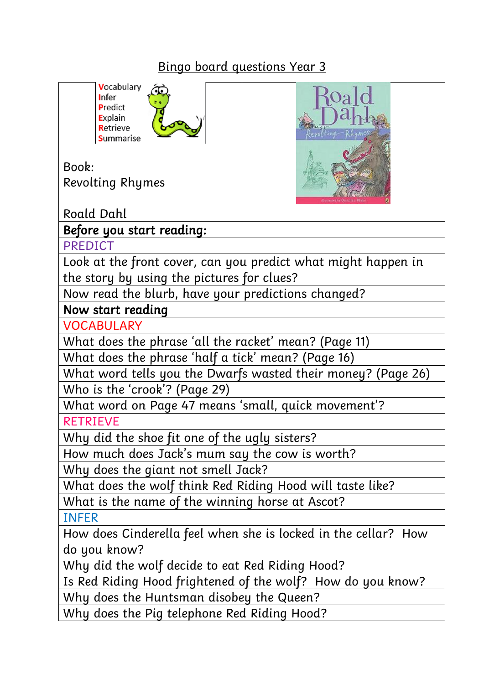## Bingo board questions Year 3